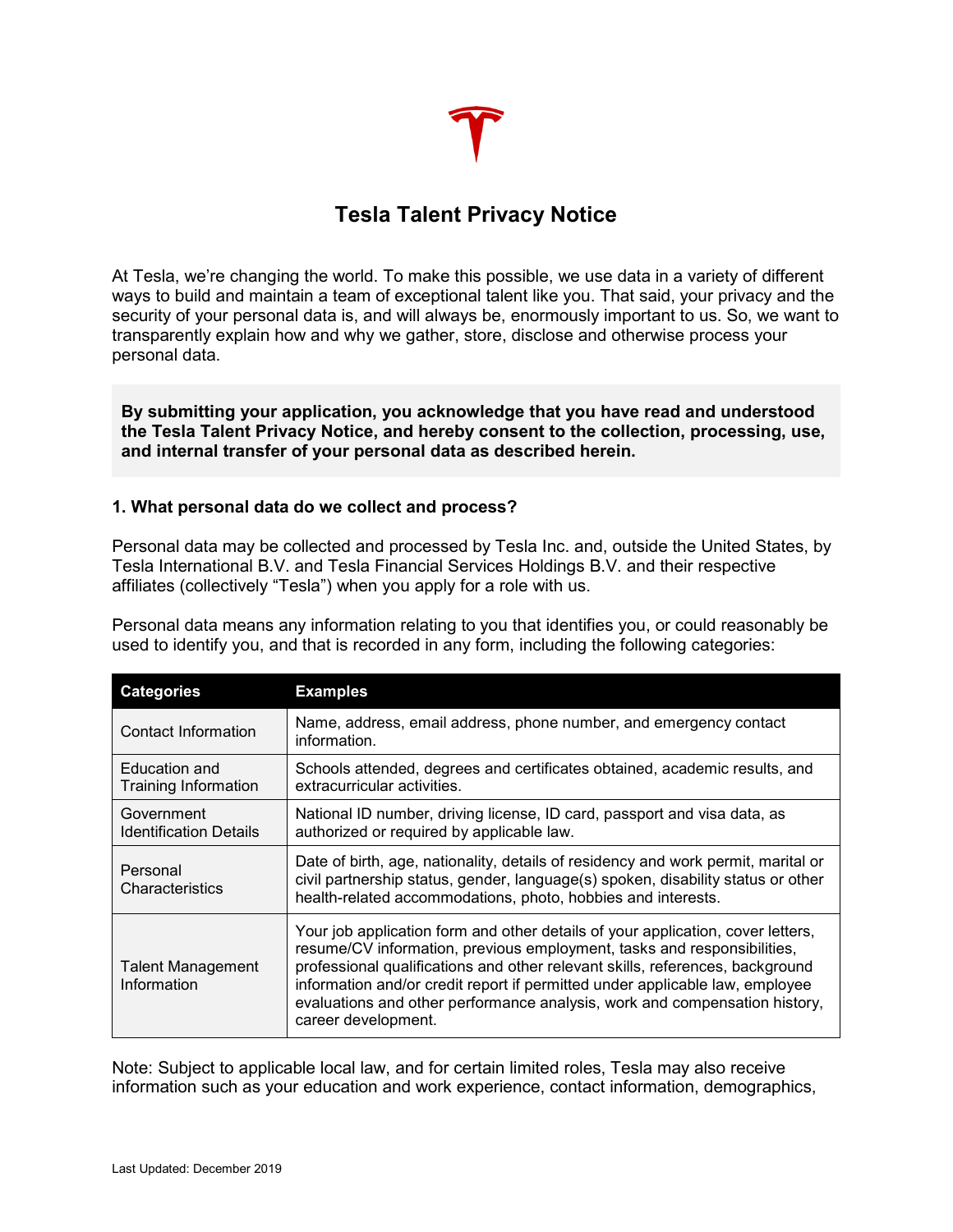# **Tesla Talent Privacy Notice**

At Tesla, we're changing the world. To make this possible, we use data in a variety of different ways to build and maintain a team of exceptional talent like you. That said, your privacy and the security of your personal data is, and will always be, enormously important to us. So, we want to transparently explain how and why we gather, store, disclose and otherwise process your personal data.

**By submitting your application, you acknowledge that you have read and understood the Tesla Talent Privacy Notice, and hereby consent to the collection, processing, use, and internal transfer of your personal data as described herein.**

## **1. What personal data do we collect and process?**

Personal data may be collected and processed by Tesla Inc. and, outside the United States, by Tesla International B.V. and Tesla Financial Services Holdings B.V. and their respective affiliates (collectively "Tesla") when you apply for a role with us.

Personal data means any information relating to you that identifies you, or could reasonably be used to identify you, and that is recorded in any form, including the following categories:

| <b>Categories</b>                            | <b>Examples</b>                                                                                                                                                                                                                                                                                                                                                                                                                  |
|----------------------------------------------|----------------------------------------------------------------------------------------------------------------------------------------------------------------------------------------------------------------------------------------------------------------------------------------------------------------------------------------------------------------------------------------------------------------------------------|
| Contact Information                          | Name, address, email address, phone number, and emergency contact<br>information.                                                                                                                                                                                                                                                                                                                                                |
| Education and<br><b>Training Information</b> | Schools attended, degrees and certificates obtained, academic results, and<br>extracurricular activities.                                                                                                                                                                                                                                                                                                                        |
| Government<br><b>Identification Details</b>  | National ID number, driving license, ID card, passport and visa data, as<br>authorized or required by applicable law.                                                                                                                                                                                                                                                                                                            |
| Personal<br>Characteristics                  | Date of birth, age, nationality, details of residency and work permit, marital or<br>civil partnership status, gender, language(s) spoken, disability status or other<br>health-related accommodations, photo, hobbies and interests.                                                                                                                                                                                            |
| Talent Management<br>Information             | Your job application form and other details of your application, cover letters,<br>resume/CV information, previous employment, tasks and responsibilities,<br>professional qualifications and other relevant skills, references, background<br>information and/or credit report if permitted under applicable law, employee<br>evaluations and other performance analysis, work and compensation history,<br>career development. |

Note: Subject to applicable local law, and for certain limited roles, Tesla may also receive information such as your education and work experience, contact information, demographics,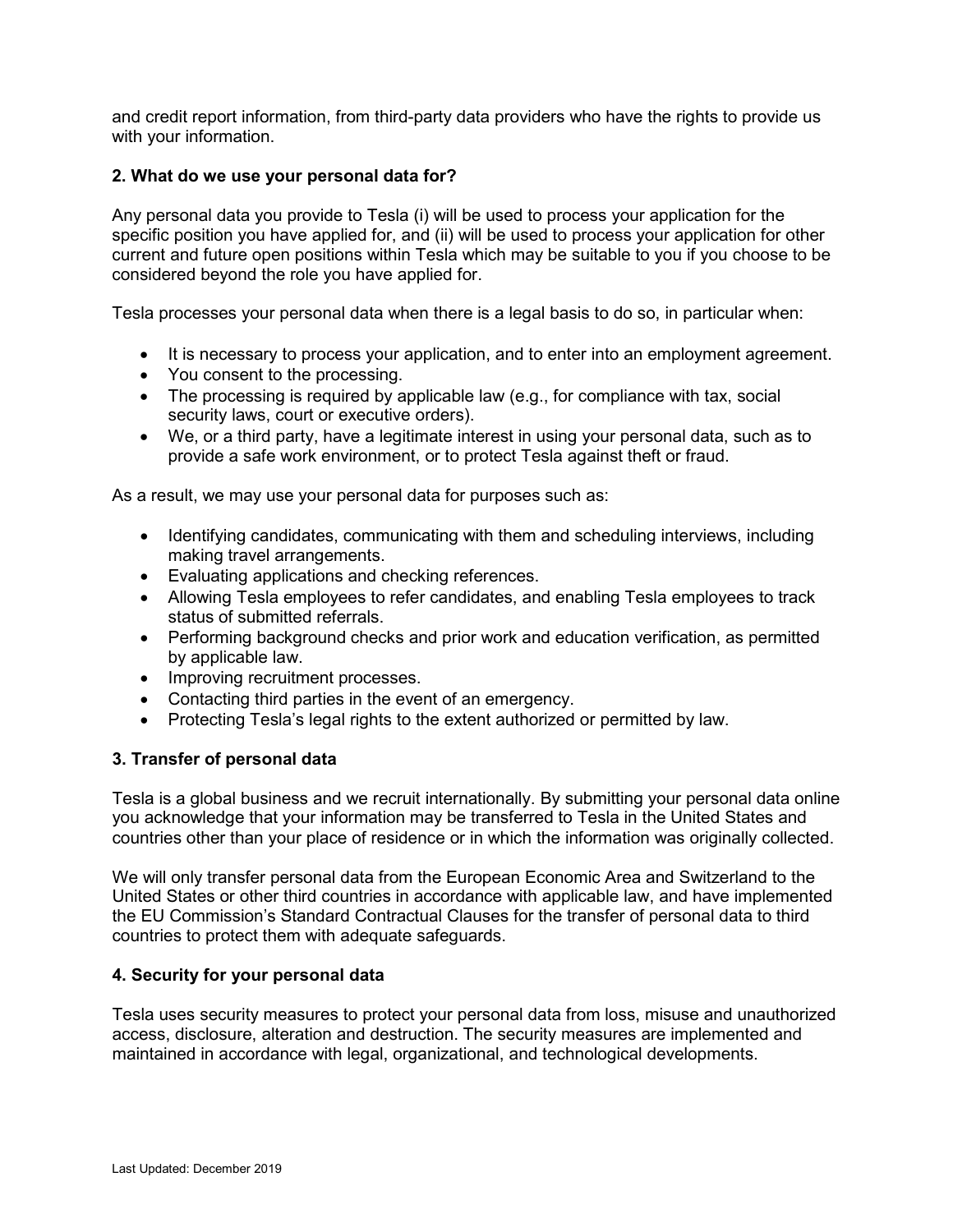and credit report information, from third-party data providers who have the rights to provide us with your information.

# **2. What do we use your personal data for?**

Any personal data you provide to Tesla (i) will be used to process your application for the specific position you have applied for, and (ii) will be used to process your application for other current and future open positions within Tesla which may be suitable to you if you choose to be considered beyond the role you have applied for.

Tesla processes your personal data when there is a legal basis to do so, in particular when:

- It is necessary to process your application, and to enter into an employment agreement.
- You consent to the processing.
- The processing is required by applicable law (e.g., for compliance with tax, social security laws, court or executive orders).
- We, or a third party, have a legitimate interest in using your personal data, such as to provide a safe work environment, or to protect Tesla against theft or fraud.

As a result, we may use your personal data for purposes such as:

- Identifying candidates, communicating with them and scheduling interviews, including making travel arrangements.
- Evaluating applications and checking references.
- Allowing Tesla employees to refer candidates, and enabling Tesla employees to track status of submitted referrals.
- Performing background checks and prior work and education verification, as permitted by applicable law.
- Improving recruitment processes.
- Contacting third parties in the event of an emergency.
- Protecting Tesla's legal rights to the extent authorized or permitted by law.

#### **3. Transfer of personal data**

Tesla is a global business and we recruit internationally. By submitting your personal data online you acknowledge that your information may be transferred to Tesla in the United States and countries other than your place of residence or in which the information was originally collected.

We will only transfer personal data from the European Economic Area and Switzerland to the United States or other third countries in accordance with applicable law, and have implemented the EU Commission's Standard Contractual Clauses for the transfer of personal data to third countries to protect them with adequate safeguards.

#### **4. Security for your personal data**

Tesla uses security measures to protect your personal data from loss, misuse and unauthorized access, disclosure, alteration and destruction. The security measures are implemented and maintained in accordance with legal, organizational, and technological developments.